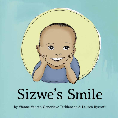

# Sizwe's Smile

by Vianne Venter, Genevieve Terblanche & Lauren Rycroft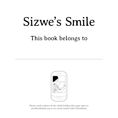## Sizwe's Smile

#### This book belongs to



Please send a photo of the child holding this page open to pic@bookdash.org or on social media with @bookdash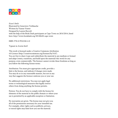

*Sizwe's Smile* Illustrated by Genevieve Terblanche Written by Vianne Venter Designed by Lauren Rycroft with the help of the Book Dash participants at Cape Town on 28/6/2014, listed here: http://www.bookdash.org/20140628-cape-town

ISBN: 978-0-9922358-4-0

Typeset in Averia Serif

This work is licensed under a Creative Commons Attribution 4.0 Licence (http://creativecommons.org/licenses/by/4.0/). You are free to share (copy and redistribute the material in any medium or format) and adapt (remix, transform, and build upon the material) this work for any purpose, even commercially. The licensor cannot revoke these freedoms as long as you follow the following license terms:

Attribution: You must give appropriate credit, provide a link to the license, and indicate if changes were made. You may do so in any reasonable manner, but not in any way that suggests the licensor endorses you or your use.

No additional restrictions: You may not apply legal terms or technological measures that legally restrict others from doing anything the license permits.

Notices: You do not have to comply with the license for elements of the material in the public domain or where your use is permitted by an applicable exception or limitation.

No warranties are given. The license may not give you all of the permissions necessary for your intended use. For example, other rights such as publicity, privacy, or moral rights may limit how you use the material.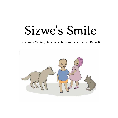## Sizwe's Smile

#### by Vianne Venter, Genevieve Terblanche & Lauren Rycroft

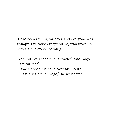It had been raining for days, and everyone was grumpy. Everyone except Sizwe, who woke up with a smile every morning.

"Yoh! Sizwe! That smile is magic!" said Gogo. "Is it for me?" Sizwe clapped his hand over his mouth. "But it's MY smile, Gogo," he whispered.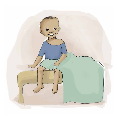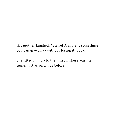His mother laughed. "Sizwe! A smile is something you can give away without losing it. Look!"

She lifted him up to the mirror. There was his smile, just as bright as before.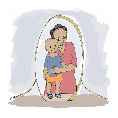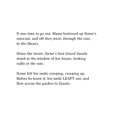It was time to go out. Mama buttoned up Sizwe's raincoat, and off they went, through the rain, to the library.

Down the street, Sizwe's best friend Zanele stood at the window of her house, looking sadly at the rain.

Sizwe felt his smile creeping, creeping up. Before he knew it, his smile LEAPT out, and flew across the garden to Zanele.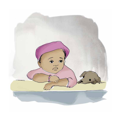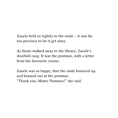Zanele held on tightly to the smile – it was far too precious to let it get away.

As Sizwe walked away to the library, Zanele's doorbell rang. It was the postman, with a letter from her favourite cousin.

Zanele was so happy, that the smile bounced up, and beamed out at the postman. "Thank you, Mister Postman!" she said.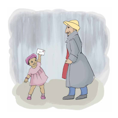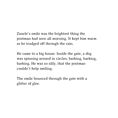Zanele's smile was the brightest thing the postman had seen all morning. It kept him warm as he trudged off through the rain.

He came to a big house. Inside the gate, a dog was spinning around in circles, barking, barking, barking. He was so silly, that the postman couldn't help smiling.

The smile bounced through the gate with a glitter of glee.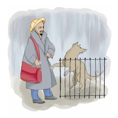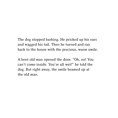The dog stopped barking. He pricked up his ears and wagged his tail. Then he turned and ran back to the house with the precious, warm smile.

A bent old man opened the door. "Oh, no! You can't come inside. You're all wet!" he told the dog. But right away, the smile beamed up at the old man.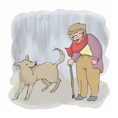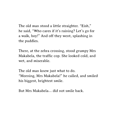The old man stood a little straighter. "Eish," he said, "Who cares if it's raining? Let's go for a walk, boy!" And off they went, splashing in the puddles.

There, at the zebra crossing, stood grumpy Mrs Makabela, the traffic cop. She looked cold, and wet, and miserable.

The old man knew just what to do. "Morning, Mrs Makabela!" he called, and smiled his biggest, brightest smile.

But Mrs Makabela… did not smile back.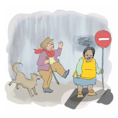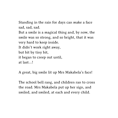Standing in the rain for days can make a face sad, sad, sad.

But a smile is a magical thing and, by now, the smile was so strong, and so bright, that it was very hard to keep inside.

It didn't work right away,

but bit by tiny bit,

it began to creep out until,

at last…!

A great, big smile lit up Mrs Makabela's face!

The school bell rang, and children ran to cross the road. Mrs Makabela put up her sign, and smiled, and smiled, at each and every child.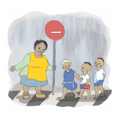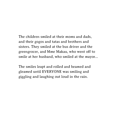The children smiled at their moms and dads, and their gogos and tatas and brothers and sisters. They smiled at the bus driver and the greengrocer, and Mme Makau, who went off to smile at her husband, who smiled at the mayor...

The smiles leapt and rolled and beamed and gleamed until EVERYONE was smiling and giggling and laughing out loud in the rain.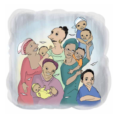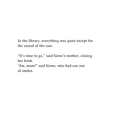In the library, everything was quiet except for the sound of the rain.

"It's time to go," said Sizwe's mother, closing her book. "Aw, mom!" said Sizwe, who had run out of smiles.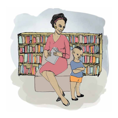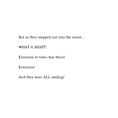But as they stepped out into the street…

WHAT A SIGHT!

Everyone in town was there!

Everyone!

And they were ALL smiling!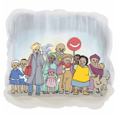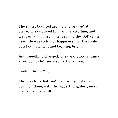The smiles bounced around and beamed at Sizwe. They warmed him, and tickled him, and crept up, up, up from his toes… to the TOP of his head. He was so full of happiness that the smile burst out, brilliant and beaming bright.

And something changed. The dark, gloomy, rainy afternoon didn't seem so dark anymore.

Could it be…? YES!

The clouds parted, and the warm sun shone down on them, with the biggest, brightest, most brilliant smile of all.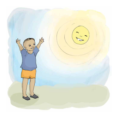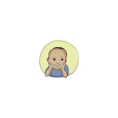